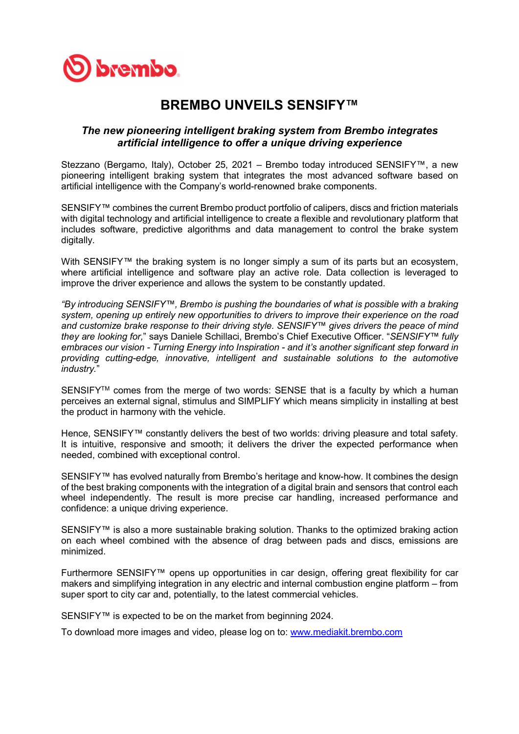

## BREMBO UNVEILS SENSIFY™

## The new pioneering intelligent braking system from Brembo integrates artificial intelligence to offer a unique driving experience

Stezzano (Bergamo, Italy), October 25, 2021 – Brembo today introduced SENSIFY™, a new pioneering intelligent braking system that integrates the most advanced software based on artificial intelligence with the Company's world-renowned brake components.

SENSIFY™ combines the current Brembo product portfolio of calipers, discs and friction materials with digital technology and artificial intelligence to create a flexible and revolutionary platform that includes software, predictive algorithms and data management to control the brake system digitally.

With SENSIFY™ the braking system is no longer simply a sum of its parts but an ecosystem, where artificial intelligence and software play an active role. Data collection is leveraged to improve the driver experience and allows the system to be constantly updated.

"By introducing SENSIFY™, Brembo is pushing the boundaries of what is possible with a braking system, opening up entirely new opportunities to drivers to improve their experience on the road and customize brake response to their driving style. SENSIFY™ gives drivers the peace of mind they are looking for," says Daniele Schillaci, Brembo's Chief Executive Officer. "SENSIFY™ fully embraces our vision - Turning Energy into Inspiration - and it's another significant step forward in providing cutting-edge, innovative, intelligent and sustainable solutions to the automotive industry."

SENSIFY<sup>™</sup> comes from the merge of two words: SENSE that is a faculty by which a human perceives an external signal, stimulus and SIMPLIFY which means simplicity in installing at best the product in harmony with the vehicle.

Hence, SENSIFY™ constantly delivers the best of two worlds: driving pleasure and total safety. It is intuitive, responsive and smooth; it delivers the driver the expected performance when needed, combined with exceptional control.

SENSIFY™ has evolved naturally from Brembo's heritage and know-how. It combines the design of the best braking components with the integration of a digital brain and sensors that control each wheel independently. The result is more precise car handling, increased performance and confidence: a unique driving experience.

SENSIFY™ is also a more sustainable braking solution. Thanks to the optimized braking action on each wheel combined with the absence of drag between pads and discs, emissions are minimized.

Furthermore SENSIFY™ opens up opportunities in car design, offering great flexibility for car makers and simplifying integration in any electric and internal combustion engine platform – from super sport to city car and, potentially, to the latest commercial vehicles.

SENSIFY™ is expected to be on the market from beginning 2024.

To download more images and video, please log on to: www.mediakit.brembo.com